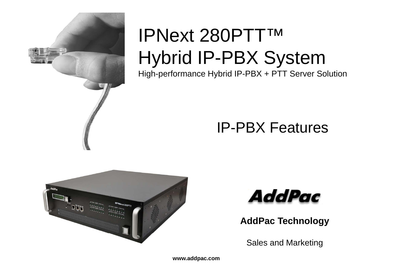

# IPNext 280PTT™ Hybrid IP-PBX System High-performance Hybrid IP-PBX + PTT Server Solution

### IP-PBX Features





**AddPac Technology**

Sales and Marketing

**www.addpac.com**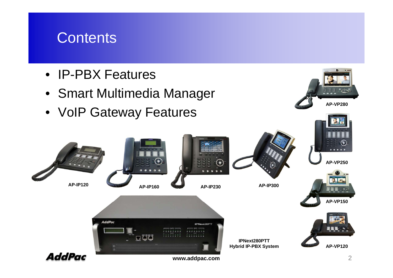### **Contents**

- IP-PBX Features
- Smart Multimedia Manager
- VoIP Gateway Features

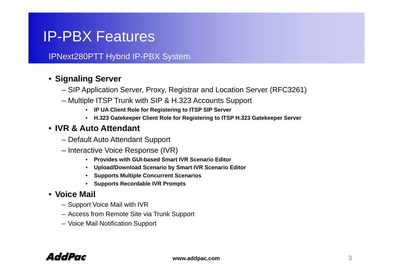### IPNext280PTT Hybrid IP-PBX System

### • **Si li S Signaling Server**

- SIP Application Server, Proxy, Registrar and Location Server (RFC3261)
- Multiple ITSP Trunk with SIP & H.323 Accounts Support
	- **IP UA Client Role for Registering to ITSP SIP Server**
	- **H.323 Gatekeeper Client Role for Registering to ITSP H.323 Gatekeeper Server**

#### • **IVR & Auto Attendant**

- Default Auto Attendant Support
- Interactive Voice Response (IVR)
	- **Provides with GUI-based Smart IVR Scenario Editor**
	- **Up y load/Download Scenario by Smart IVR Scenario Editor**
	- **Supports Multiple Concurrent Scenarios**
	- **Supports Recordable IVR Prompts**

#### • **Voice Mail**

- Support Voice Mail with IVR
- Access from Remote Site via Trunk Support
- Voice Mail Notification Support

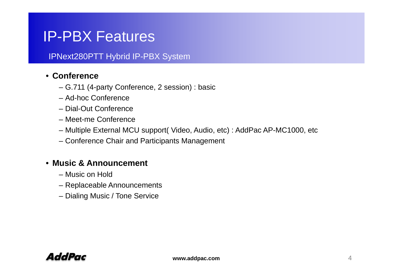#### IPNext280PTT Hybrid IP-PBX System

#### • **Conference**

- G.711 (4-party Conference, 2 session) : basic
- Ad-hoc Conference
- Dial-Out Conference
- Meet-me Conference
- Multiple External MCU support( Video, Audio, etc) : AddPac AP-MC1000, etc
- Conference Chair and Participants Management

#### • **Music & Announcement**

- Music on Hold
- Replaceable Announcements
- Dialing Music / Tone Service

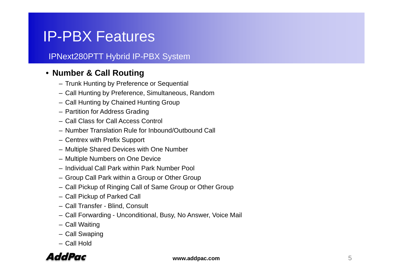### IPNext280PTT Hybrid IP-PBX System

### • **Number & Call Routing**

- Trunk Hunting by Preference or Sequential
- Call Hunting by Preference, Simultaneous, Random
- Call Hunting by Chained Hunting Group
- Partition for Address Grading
- Call Class for Call Access Control
- Number Translation Rule for Inbound/Outbound Call
- Centrex with Prefix Support
- Multiple Shared Devices with One Number
- Multiple Numbers on One Device
- Individual Call Park within Park Number Pool Number
- Group Call Park within a Group or Other Group
- Call Pickup of Ringing Call of Same Group or Other Group
- Call Pickup of Parked Call
- Call Transfer Blind, Consult
- Call Forwarding Unconditional, Busy, No Answer, Voice Mail
- Call Waiting
- Call Swaping
- Call Hold

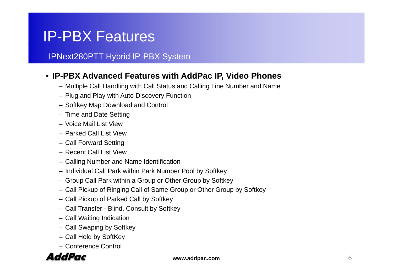#### IPNext280PTT Hybrid IP-PBX System

#### • **IP PBX Advanced Features with AddPac IP Video Phones -PBX with IP,**

- Multiple Call Handling with Call Status and Calling Line Number and Name
- Plug and Play with Auto Discovery Function
- Softkey Map Download and Control
- Time and Date Setting
- Voice Mail List View
- Parked Call List View
- Call Forward Setting
- Recent Call List View
- Calling Number and Name Identification
- Individual Call Park within Park Number Pool by Softkey
- Group Call Park within a Group or Other Group by Softkey
- Call Pickup of Ringing Call of Same Group or Other Group by Softkey
- Call Pickup of Parked Call by Softkey
- Call Transfer Blind, Consult by Softkey
- Call Waiting Indication
- Call Swaping by Softkey
- Call Hold by SoftKey
- Conference Control

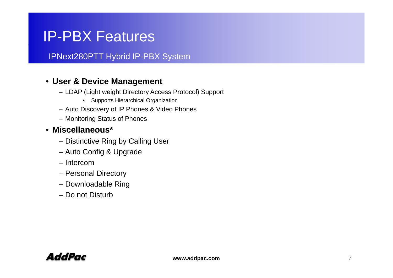IPNext280PTT Hybrid IP-PBX System

#### • **User & Device Management**

- LDAP (Light weight Directory Access Protocol) Support
	- Supports Hierarchical Organization
- Auto Discovery of IP Phones & Video Phones
- Monitoring Status of Phones

#### • **Miscellaneous\***

- Distinctive Ring by Calling User
- Auto Config & Upgrade
- Intercom
- Personal Directory
- Downloadable Ring
- Do not Disturb

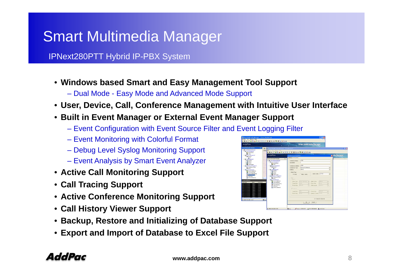## Smart Multimedia Manager

IPNext280PTT Hybrid IP-PBX System

- **Windows based Smart and Easy Management Tool Support**
	- Dual Mode Easy Mode and Advanced Mode Support
- **User, Device, Call, Conference Management with Intuitive User Interface**
- **Built in Event Manager or External Event Manager Support**
	- Event Configuration with Event Source Filter and Event Logging Filter
	- Event Monitoring with Colorful Format
	- Debug Level Syslog Monitoring Support
	- Event Analysis by Smart Event Analyzer
- **A ti C ll M it i S t ctive all Monitoring Suppor**
- **Call Tracing Support**
- **Active Conference Monitoring Support**
- **Call History Viewer Support**
- **Backup, Restore and Initializing of Database Support**
- **Export and Import of Database to Excel File Support File**

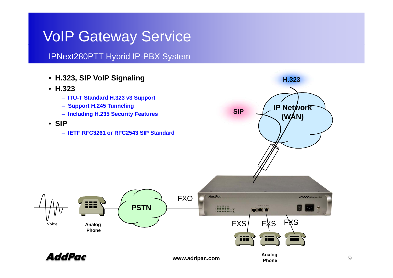IPNext280PTT Hybrid IP-PBX System

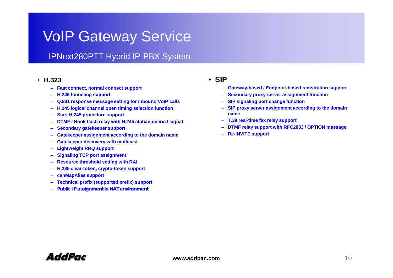### IPNext280PTT Hybrid IP-PBX System

#### • **H.323**

- **Fast connect, normal connect support**
- **H.245 tunneling support**
- **Q.931 response message setting for inbound VoIP calls**
- **H 245 logical channel open timing selection f nction** –
- $\equiv$ **Start H.245 procedure support**
- –**DTMF / Hook flash relay with H.245 alphanumeric / signal**
- –**Secondary gatekeeper support**
- –**Gatekeeper assignment according to the domain name**
- –**Gatekeeper discovery with multicast**
- $\equiv$ **Lightweight RRQ support**
- –**Signaling TCP port assignment**
- –**Resource threshold setting with RAI**
- **H.235 clear-token, yp cr to-token support**
- –**canMapAlias support**
- **Technical prefix (supported prefix) support**
- **Public IP assignment in NAT environment**

#### • **SIP**

- **Gateway-based / Endpoint-based registration support**
- **Secondary proxy-server assignment function**
- **SIP signaling port change function**
- **H.245 open function SIP proxy server assignment according to the domain name**
	- **T.38 real-time fax relay support**
	- **DTMF relay support with RFC2833 / OPTION message**
	- **Re-INVITE support**

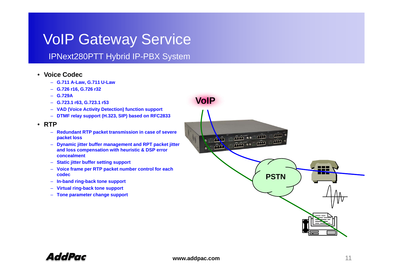#### IPNext280PTT Hybrid IP-PBX System

- **Voice Codec**
	- **G.711 A-Law, G.711 U-Law**
	- **G.726 r16, G.726 r32**
	- **G.729A**
	- **G.723.1 r63, G.723.1 r53 VoIP**
	- **VAD (Voice Activity Detection) function support**
	- **DTMF relay support (H.323, SIP) based on RFC2833**
- **RTP**
	- **Redundant RTP packet transmission in case of severe packet loss**
	- **Dynamic jitter buffer management and RPT packet jitter and loss compensation with heuristic & DSP error concealment**
	- –**Static jitter buffer setting support**
	- **Voice frame per RTP packet number control for each codec**
	- **In-band ring-back tone support**
	- **Virtual ring-back tone support**
	- **Tone parameter change support**



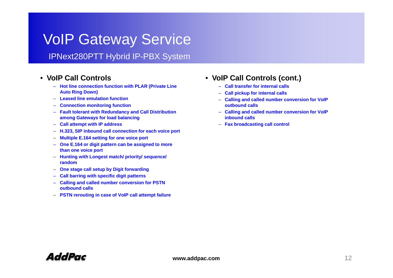#### IPNext280PTT Hybrid IP-PBX System

#### •**VoIPallControls**

- **Hot line connection function with PLAR (Private Line Auto Ring Down)**
- **Leased line emulation function**
- $-$  **Connection monitoring function**
- **Fault tolerant with Redundancy and Call Distribution among Gateways for load balancing**
- **Call attempt with IP address**
- **H.323, SIP inbound call connection for each voice port**
- **Multiple E.164 setting for one voice port**
- **One E.164 or digit pattern can be assigned to more than one voice port**
- **Hunting with Longest match/ priority/ sequence/ random**
- **One stage call setup by Digit forwarding**
- **Call barring with specific digit patterns**
- **Calling and called number conversion for PSTN outbound calls**
- **PSTN rerouting in case of VoIP call attempt failure**

#### **V IP C ll C t l V IP C ll C t l ( t )** • **VoIP all Con trols (con t.)**

- **Call transfer for internal calls**
- –**Call pickup for internal calls**
- **Calling and called number conversion for VoIP g outbound calls**
- **Calling and called number conversion for VoIP inbound calls**
- **Fax broadcasting call control**